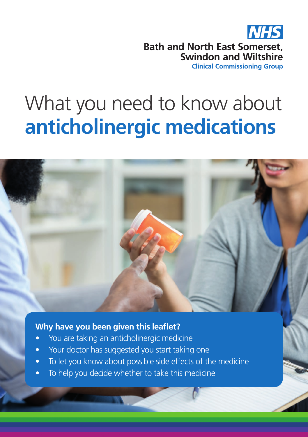

# What you need to know about **anticholinergic medications**



## **Why have you been given this leaflet?**

- You are taking an anticholinergic medicine
- Your doctor has suggested you start taking one
- To let you know about possible side effects of the medicine
- To help you decide whether to take this medicine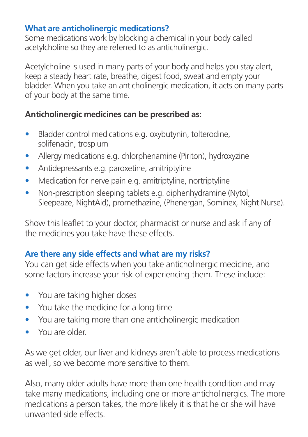#### **What are anticholinergic medications?**

Some medications work by blocking a chemical in your body called acetylcholine so they are referred to as anticholinergic.

Acetylcholine is used in many parts of your body and helps you stay alert, keep a steady heart rate, breathe, digest food, sweat and empty your bladder. When you take an anticholinergic medication, it acts on many parts of your body at the same time.

## **Anticholinergic medicines can be prescribed as:**

- Bladder control medications e.g. oxybutynin, tolterodine, solifenacin, trospium
- Allergy medications e.g. chlorphenamine (Piriton), hydroxyzine
- Antidepressants e.g. paroxetine, amitriptyline
- Medication for nerve pain e.g. amitriptyline, nortriptyline
- Non-prescription sleeping tablets e.g. diphenhydramine (Nytol, Sleepeaze, NightAid), promethazine, (Phenergan, Sominex, Night Nurse).

Show this leaflet to your doctor, pharmacist or nurse and ask if any of the medicines you take have these effects.

## **Are there any side effects and what are my risks?**

You can get side effects when you take anticholinergic medicine, and some factors increase your risk of experiencing them. These include:

- You are taking higher doses
- You take the medicine for a long time
- You are taking more than one anticholinergic medication
- You are older.

As we get older, our liver and kidneys aren't able to process medications as well, so we become more sensitive to them.

Also, many older adults have more than one health condition and may take many medications, including one or more anticholinergics. The more medications a person takes, the more likely it is that he or she will have unwanted side effects.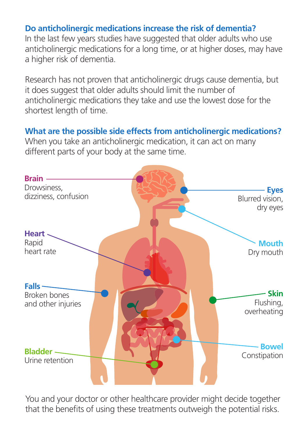#### **Do anticholinergic medications increase the risk of dementia?**

In the last few years studies have suggested that older adults who use anticholinergic medications for a long time, or at higher doses, may have a higher risk of dementia.

Research has not proven that anticholinergic drugs cause dementia, but it does suggest that older adults should limit the number of anticholinergic medications they take and use the lowest dose for the shortest length of time.

#### **What are the possible side effects from anticholinergic medications?**

When you take an anticholinergic medication, it can act on many different parts of your body at the same time.



You and your doctor or other healthcare provider might decide together that the benefits of using these treatments outweigh the potential risks.